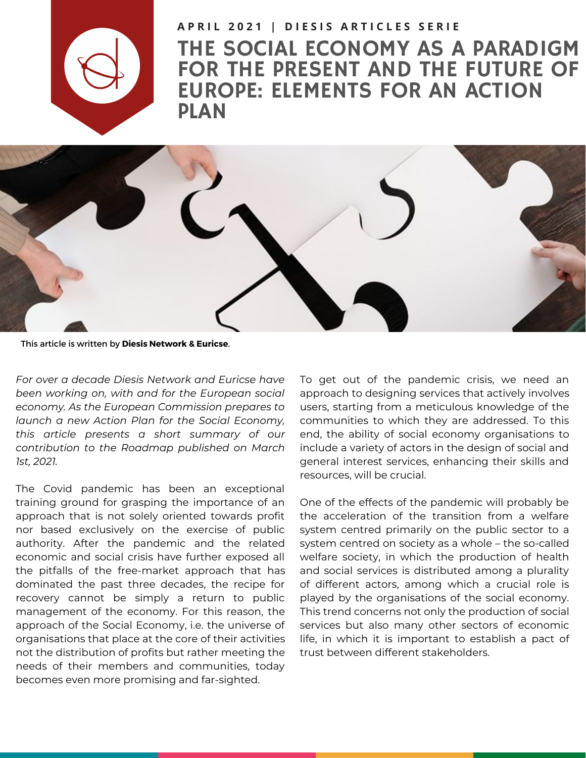

## THE SOCIAL ECONOMY AS A PARADIGM FOR THE PRESENT AND THE FUTURE OF EUROPE: ELEMENTS FOR AN ACTION PLAN APRIL 2021 | DIESIS ARTICLES SERIE



This article is written by **Diesis Network & [Euricse](https://www.diesis.coop/?goto=NzhDTwpfR0ACLjdEUlY2FSoDUnNDAR0)**.

*For over a decade Diesis Network and Euricse have been working on, with and for the European social economy. As the European Commission prepares to launch a new Action Plan for the Social Economy, this article presents a short summary of our contribution to the Roadmap published on March 1st, 2021.*

The Covid pandemic has been an exceptional training ground for grasping the importance of an approach that is not solely oriented towards profit nor based exclusively on the exercise of public authority. After the pandemic and the related economic and social crisis have further exposed all the pitfalls of the free-market approach that has dominated the past three decades, the recipe for recovery cannot be simply a return to public management of the economy. For this reason, the approach of the Social Economy, i.e. the universe of organisations that place at the core of their activities not the distribution of profits but rather meeting the needs of their members and communities, today becomes even more promising and far-sighted.

To get out of the pandemic crisis, we need an approach to designing services that actively involves users, starting from a meticulous knowledge of the communities to which they are addressed. To this end, the ability of social economy organisations to include a variety of actors in the design of social and general interest services, enhancing their skills and resources, will be crucial.

One of the effects of the pandemic will probably be the acceleration of the transition from a welfare system centred primarily on the public sector to a system centred on society as a whole – the so-called welfare society, in which the production of health and social services is distributed among a plurality of different actors, among which a crucial role is played by the organisations of the social economy. This trend concerns not only the production of social services but also many other sectors of economic life, in which it is important to establish a pact of trust between different stakeholders.